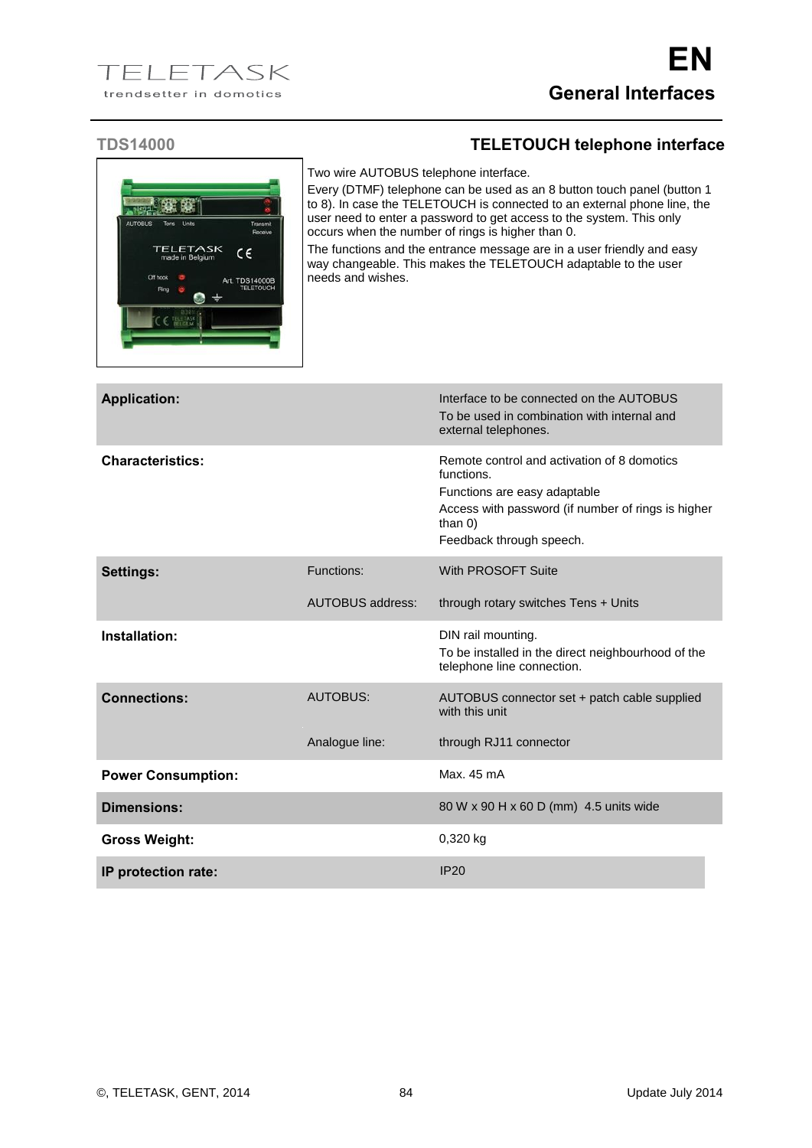## **TDS14000 TELETOUCH telephone interface**

Two wire AUTOBUS telephone interface.

Every (DTMF) telephone can be used as an 8 button touch panel (button 1 to 8). In case the TELETOUCH is connected to an external phone line, the user need to enter a password to get access to the system. This only occurs when the number of rings is higher than 0.

The functions and the entrance message are in a user friendly and easy way changeable. This makes the TELETOUCH adaptable to the user needs and wishes.

| <b>Application:</b>       |                         | Interface to be connected on the AUTOBUS<br>To be used in combination with internal and<br>external telephones.                                                                           |
|---------------------------|-------------------------|-------------------------------------------------------------------------------------------------------------------------------------------------------------------------------------------|
| <b>Characteristics:</b>   |                         | Remote control and activation of 8 domotics<br>functions.<br>Functions are easy adaptable<br>Access with password (if number of rings is higher<br>than $0$ )<br>Feedback through speech. |
| <b>Settings:</b>          | Functions:              | With PROSOFT Suite                                                                                                                                                                        |
|                           | <b>AUTOBUS address:</b> | through rotary switches Tens + Units                                                                                                                                                      |
| Installation:             |                         | DIN rail mounting.<br>To be installed in the direct neighbourhood of the<br>telephone line connection.                                                                                    |
| <b>Connections:</b>       | <b>AUTOBUS:</b>         | AUTOBUS connector set + patch cable supplied<br>with this unit                                                                                                                            |
|                           | Analogue line:          | through RJ11 connector                                                                                                                                                                    |
| <b>Power Consumption:</b> |                         | Max. 45 mA                                                                                                                                                                                |
| Dimensions:               |                         | 80 W x 90 H x 60 D (mm) 4.5 units wide                                                                                                                                                    |
| <b>Gross Weight:</b>      |                         | 0,320 kg                                                                                                                                                                                  |
| IP protection rate:       |                         | <b>IP20</b>                                                                                                                                                                               |